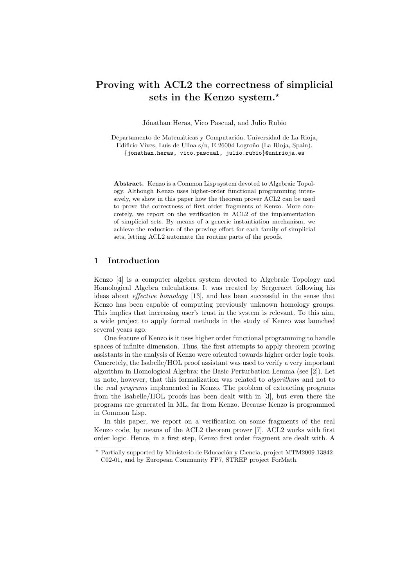# Proving with ACL2 the correctness of simplicial sets in the Kenzo system.<sup>\*</sup>

Jónathan Heras, Vico Pascual, and Julio Rubio

Departamento de Matemáticas y Computación, Universidad de La Rioja, Edificio Vives, Luis de Ulloa s/n, E-26004 Logroño (La Rioja, Spain). {jonathan.heras, vico.pascual, julio.rubio}@unirioja.es

Abstract. Kenzo is a Common Lisp system devoted to Algebraic Topology. Although Kenzo uses higher-order functional programming intensively, we show in this paper how the theorem prover ACL2 can be used to prove the correctness of first order fragments of Kenzo. More concretely, we report on the verification in ACL2 of the implementation of simplicial sets. By means of a generic instantiation mechanism, we achieve the reduction of the proving effort for each family of simplicial sets, letting ACL2 automate the routine parts of the proofs.

# 1 Introduction

Kenzo [4] is a computer algebra system devoted to Algebraic Topology and Homological Algebra calculations. It was created by Sergeraert following his ideas about effective homology [13], and has been successful in the sense that Kenzo has been capable of computing previously unknown homology groups. This implies that increasing user's trust in the system is relevant. To this aim, a wide project to apply formal methods in the study of Kenzo was launched several years ago.

One feature of Kenzo is it uses higher order functional programming to handle spaces of infinite dimension. Thus, the first attempts to apply theorem proving assistants in the analysis of Kenzo were oriented towards higher order logic tools. Concretely, the Isabelle/HOL proof assistant was used to verify a very important algorithm in Homological Algebra: the Basic Perturbation Lemma (see [2]). Let us note, however, that this formalization was related to algorithms and not to the real programs implemented in Kenzo. The problem of extracting programs from the Isabelle/HOL proofs has been dealt with in [3], but even there the programs are generated in ML, far from Kenzo. Because Kenzo is programmed in Common Lisp.

In this paper, we report on a verification on some fragments of the real Kenzo code, by means of the ACL2 theorem prover [7]. ACL2 works with first order logic. Hence, in a first step, Kenzo first order fragment are dealt with. A

<sup>\*</sup> Partially supported by Ministerio de Educación y Ciencia, project MTM2009-13842-C02-01, and by European Community FP7, STREP project ForMath.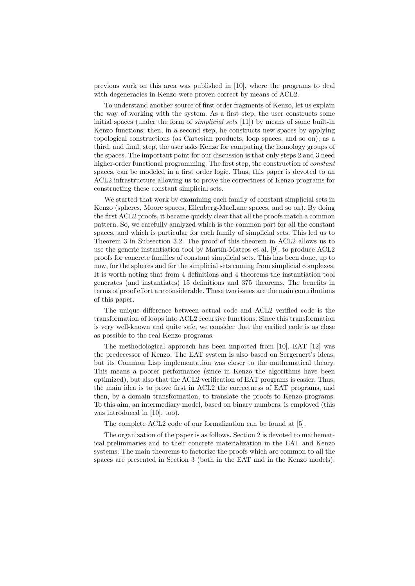previous work on this area was published in [10], where the programs to deal with degeneracies in Kenzo were proven correct by means of ACL2.

To understand another source of first order fragments of Kenzo, let us explain the way of working with the system. As a first step, the user constructs some initial spaces (under the form of *simplicial sets* [11]) by means of some built-in Kenzo functions; then, in a second step, he constructs new spaces by applying topological constructions (as Cartesian products, loop spaces, and so on); as a third, and final, step, the user asks Kenzo for computing the homology groups of the spaces. The important point for our discussion is that only steps 2 and 3 need higher-order functional programming. The first step, the construction of constant spaces, can be modeled in a first order logic. Thus, this paper is devoted to an ACL2 infrastructure allowing us to prove the correctness of Kenzo programs for constructing these constant simplicial sets.

We started that work by examining each family of constant simplicial sets in Kenzo (spheres, Moore spaces, Eilenberg-MacLane spaces, and so on). By doing the first ACL2 proofs, it became quickly clear that all the proofs match a common pattern. So, we carefully analyzed which is the common part for all the constant spaces, and which is particular for each family of simplicial sets. This led us to Theorem 3 in Subsection 3.2. The proof of this theorem in ACL2 allows us to use the generic instantiation tool by Martín-Mateos et al.  $[9]$ , to produce  $\text{ACL2}$ proofs for concrete families of constant simplicial sets. This has been done, up to now, for the spheres and for the simplicial sets coming from simplicial complexes. It is worth noting that from 4 definitions and 4 theorems the instantiation tool generates (and instantiates) 15 definitions and 375 theorems. The benefits in terms of proof effort are considerable. These two issues are the main contributions of this paper.

The unique difference between actual code and ACL2 verified code is the transformation of loops into ACL2 recursive functions. Since this transformation is very well-known and quite safe, we consider that the verified code is as close as possible to the real Kenzo programs.

The methodological approach has been imported from [10]. EAT [12] was the predecessor of Kenzo. The EAT system is also based on Sergeraert's ideas, but its Common Lisp implementation was closer to the mathematical theory. This means a poorer performance (since in Kenzo the algorithms have been optimized), but also that the ACL2 verification of EAT programs is easier. Thus, the main idea is to prove first in ACL2 the correctness of EAT programs, and then, by a domain transformation, to translate the proofs to Kenzo programs. To this aim, an intermediary model, based on binary numbers, is employed (this was introduced in [10], too).

The complete ACL2 code of our formalization can be found at [5].

The organization of the paper is as follows. Section 2 is devoted to mathematical preliminaries and to their concrete materialization in the EAT and Kenzo systems. The main theorems to factorize the proofs which are common to all the spaces are presented in Section 3 (both in the EAT and in the Kenzo models).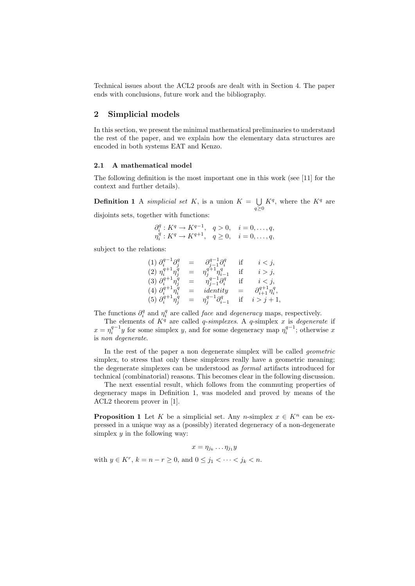Technical issues about the ACL2 proofs are dealt with in Section 4. The paper ends with conclusions, future work and the bibliography.

# 2 Simplicial models

In this section, we present the minimal mathematical preliminaries to understand the rest of the paper, and we explain how the elementary data structures are encoded in both systems EAT and Kenzo.

### 2.1 A mathematical model

The following definition is the most important one in this work (see [11] for the context and further details).

**Definition 1** A simplicial set K, is a union  $K = \bigcup$  $q\geq 0$  $K^q$ , where the  $K^q$  are disjoints sets, together with functions:

$$
\partial_i^q : K^q \to K^{q-1}, \quad q > 0, \quad i = 0, \dots, q,
$$
  
\n $\eta_i^q : K^q \to K^{q+1}, \quad q \ge 0, \quad i = 0, \dots, q,$ 

subject to the relations:

$$
(1) \partial_i^{q-1} \partial_j^q = \partial_{j-1}^{q-1} \partial_i^q \quad \text{if} \quad i < j, (2) \eta_i^{q+1} \eta_j^q = \eta_j^{q+1} \eta_{i-1}^q \quad \text{if} \quad i > j, (3) \partial_i^{q+1} \eta_j^q = \eta_{j-1}^{q-1} \partial_i^q \quad \text{if} \quad i < j, (4) \partial_i^{q+1} \eta_i^q = identity = \partial_{i+1}^{q+1} \eta_i^q, (5) \partial_i^{q+1} \eta_j^q = \eta_j^{q-1} \partial_{i-1}^q \quad \text{if} \quad i > j+1,
$$

The functions  $\partial_i^q$  and  $\eta_i^q$  are called *face* and *degeneracy* maps, respectively.

The elements of  $K^q$  are called *q-simplexes*. A *q-simplex x* is *degenerate* if  $x = \eta_i^{q-1}y$  for some simplex y, and for some degeneracy map  $\eta_i^{q-1}$ ; otherwise x is non degenerate.

In the rest of the paper a non degenerate simplex will be called geometric simplex, to stress that only these simplexes really have a geometric meaning; the degenerate simplexes can be understood as formal artifacts introduced for technical (combinatorial) reasons. This becomes clear in the following discussion.

The next essential result, which follows from the commuting properties of degeneracy maps in Definition 1, was modeled and proved by means of the ACL2 theorem prover in [1].

**Proposition 1** Let K be a simplicial set. Any n-simplex  $x \in K^n$  can be expressed in a unique way as a (possibly) iterated degeneracy of a non-degenerate simplex  $y$  in the following way:

$$
x=\eta_{j_k}\ldots\eta_{j_1}y
$$

with  $y \in K^r$ ,  $k = n - r \ge 0$ , and  $0 \le j_1 < \cdots < j_k < n$ .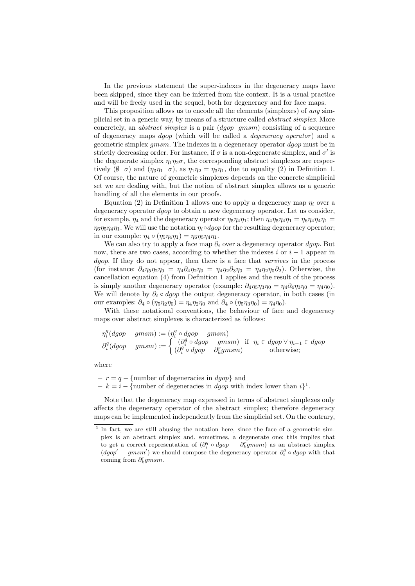In the previous statement the super-indexes in the degeneracy maps have been skipped, since they can be inferred from the context. It is a usual practice and will be freely used in the sequel, both for degeneracy and for face maps.

This proposition allows us to encode all the elements (simplexes) of any simplicial set in a generic way, by means of a structure called abstract simplex. More concretely, an abstract simplex is a pair (dgop gmsm) consisting of a sequence of degeneracy maps *dgop* (which will be called a *degeneracy operator*) and a geometric simplex gmsm. The indexes in a degeneracy operator dgop must be in strictly decreasing order. For instance, if  $\sigma$  is a non-degenerate simplex, and  $\sigma'$  is the degenerate simplex  $\eta_1 \eta_2 \sigma$ , the corresponding abstract simplexes are respectively  $(\emptyset \ \sigma)$  and  $(\eta_3 \eta_1 \ \sigma)$ , as  $\eta_1 \eta_2 = \eta_3 \eta_1$ , due to equality (2) in Definition 1. Of course, the nature of geometric simplexes depends on the concrete simplicial set we are dealing with, but the notion of abstract simplex allows us a generic handling of all the elements in our proofs.

Equation (2) in Definition 1 allows one to apply a degeneracy map  $\eta_i$  over a degeneracy operator *dgop* to obtain a new degeneracy operator. Let us consider, for example,  $\eta_4$  and the degeneracy operator  $\eta_5 \eta_4 \eta_1$ ; then  $\eta_4 \eta_5 \eta_4 \eta_1 = \eta_6 \eta_4 \eta_4 \eta_1 =$  $\eta_6\eta_5\eta_4\eta_1$ . We will use the notation  $\eta_i \circ dgo$  for the resulting degeneracy operator; in our example:  $\eta_4 \circ (\eta_5 \eta_4 \eta_1) = \eta_6 \eta_5 \eta_4 \eta_1$ .

We can also try to apply a face map  $\partial_i$  over a degeneracy operator *dgop*. But now, there are two cases, according to whether the indexes i or  $i - 1$  appear in dgop. If they do not appear, then there is a face that *survives* in the process (for instance:  $\partial_4 \eta_5 \eta_2 \eta_0 = \eta_4 \partial_4 \eta_2 \eta_0 = \eta_4 \eta_2 \partial_3 \eta_0 = \eta_4 \eta_2 \eta_0 \partial_2$ ). Otherwise, the cancellation equation (4) from Definition 1 applies and the result of the process is simply another degeneracy operator (example:  $\partial_4 \eta_5 \eta_3 \eta_0 = \eta_4 \partial_4 \eta_3 \eta_0 = \eta_4 \eta_0$ ). We will denote by  $\partial_i \circ dgo$  the output degeneracy operator, in both cases (in our examples:  $\partial_4 \circ (\eta_5 \eta_2 \eta_0) = \eta_4 \eta_2 \eta_0$  and  $\partial_4 \circ (\eta_5 \eta_3 \eta_0) = \eta_4 \eta_0$ .

With these notational conventions, the behaviour of face and degeneracy maps over abstract simplexes is characterized as follows:

$$
\begin{array}{ll}\n\eta_i^q(dgop \quad gmsm) := (\eta_i^q \circ dgop \quad gmsm) \\
\partial_i^q(dgop \quad gmsm) := \n\begin{cases}\n(\partial_i^q \circ dgop \quad gmsm) & \text{if } \eta_i \in dgop \lor \eta_{i-1} \in dgop \\
(\partial_i^q \circ dgop \quad \partial_k^r gmsm) & \text{otherwise}\n\end{cases}\n\end{array}
$$

where

 $- r = q - \text{number of degeneracies in } dqop$  and

 $-k = i - \{\text{number of degeneracies in } dgop \text{ with index lower than } i\}^1.$ 

Note that the degeneracy map expressed in terms of abstract simplexes only affects the degeneracy operator of the abstract simplex; therefore degeneracy maps can be implemented independently from the simplicial set. On the contrary,

<sup>&</sup>lt;sup>1</sup> In fact, we are still abusing the notation here, since the face of a geometric simplex is an abstract simplex and, sometimes, a degenerate one; this implies that to get a correct representation of  $(\partial_i^q \circ dgop \ \partial_k^r g m s m)$  as an abstract simplex  $(dqop)$  $gmsm'$ ) we should compose the degeneracy operator  $\partial_i^q \circ dgop$  with that coming from  $\partial_k^r g m s m$ .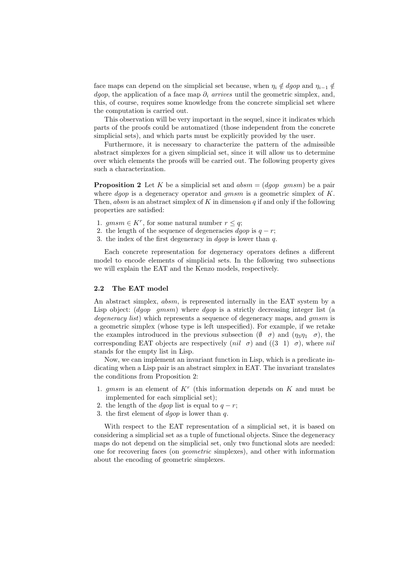face maps can depend on the simplicial set because, when  $\eta_i \notin dgop$  and  $\eta_{i-1} \notin$ dgop, the application of a face map  $\partial_i$  arrives until the geometric simplex, and, this, of course, requires some knowledge from the concrete simplicial set where the computation is carried out.

This observation will be very important in the sequel, since it indicates which parts of the proofs could be automatized (those independent from the concrete simplicial sets), and which parts must be explicitly provided by the user.

Furthermore, it is necessary to characterize the pattern of the admissible abstract simplexes for a given simplicial set, since it will allow us to determine over which elements the proofs will be carried out. The following property gives such a characterization.

**Proposition 2** Let K be a simplicial set and  $absm = (dgop-gmsm)$  be a pair where  $dqop$  is a degeneracy operator and  $qmsm$  is a geometric simplex of K. Then, absm is an abstract simplex of K in dimension  $q$  if and only if the following properties are satisfied:

- 1.  $gmsm \in K^r$ , for some natural number  $r \leq q$ ;
- 2. the length of the sequence of degeneracies  $dqop$  is  $q r$ ;
- 3. the index of the first degeneracy in  $dqop$  is lower than q.

Each concrete representation for degeneracy operators defines a different model to encode elements of simplicial sets. In the following two subsections we will explain the EAT and the Kenzo models, respectively.

### 2.2 The EAT model

An abstract simplex, *absm*, is represented internally in the EAT system by a Lisp object:  $(dqop-gmsm)$  where  $dqop$  is a strictly decreasing integer list (a degeneracy list) which represents a sequence of degeneracy maps, and *gmsm* is a geometric simplex (whose type is left unspecified). For example, if we retake the examples introduced in the previous subsection  $(\emptyset \ \sigma)$  and  $(\eta_3\eta_1 \ \sigma)$ , the corresponding EAT objects are respectively (*nil*  $\sigma$ ) and ((3 1)  $\sigma$ ), where *nil* stands for the empty list in Lisp.

Now, we can implement an invariant function in Lisp, which is a predicate indicating when a Lisp pair is an abstract simplex in EAT. The invariant translates the conditions from Proposition 2:

- 1.  $gmsm$  is an element of  $K^r$  (this information depends on  $K$  and must be implemented for each simplicial set);
- 2. the length of the *dgop* list is equal to  $q r$ ;
- 3. the first element of  $dgop$  is lower than q.

With respect to the EAT representation of a simplicial set, it is based on considering a simplicial set as a tuple of functional objects. Since the degeneracy maps do not depend on the simplicial set, only two functional slots are needed: one for recovering faces (on geometric simplexes), and other with information about the encoding of geometric simplexes.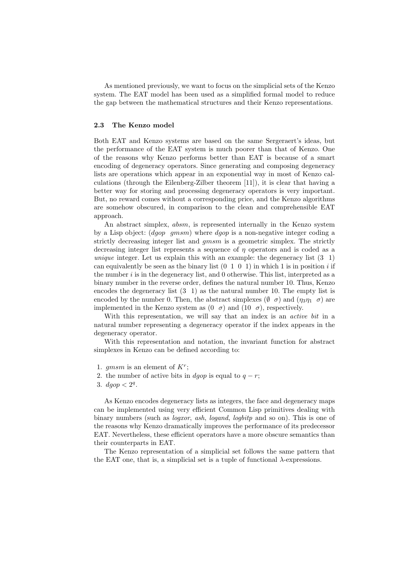As mentioned previously, we want to focus on the simplicial sets of the Kenzo system. The EAT model has been used as a simplified formal model to reduce the gap between the mathematical structures and their Kenzo representations.

# 2.3 The Kenzo model

Both EAT and Kenzo systems are based on the same Sergeraert's ideas, but the performance of the EAT system is much poorer than that of Kenzo. One of the reasons why Kenzo performs better than EAT is because of a smart encoding of degeneracy operators. Since generating and composing degeneracy lists are operations which appear in an exponential way in most of Kenzo calculations (through the Eilenberg-Zilber theorem [11]), it is clear that having a better way for storing and processing degeneracy operators is very important. But, no reward comes without a corresponding price, and the Kenzo algorithms are somehow obscured, in comparison to the clean and comprehensible EAT approach.

An abstract simplex, absm, is represented internally in the Kenzo system by a Lisp object:  $(dqop-gmsm)$  where  $dqop$  is a non-negative integer coding a strictly decreasing integer list and gmsm is a geometric simplex. The strictly decreasing integer list represents a sequence of  $\eta$  operators and is coded as a unique integer. Let us explain this with an example: the degeneracy list  $(3\;1)$ can equivalently be seen as the binary list  $(0 \ 1 \ 0 \ 1)$  in which 1 is in position i if the number  $i$  is in the degeneracy list, and 0 otherwise. This list, interpreted as a binary number in the reverse order, defines the natural number 10. Thus, Kenzo encodes the degeneracy list (3 1) as the natural number 10. The empty list is encoded by the number 0. Then, the abstract simplexes  $(\emptyset \ \sigma)$  and  $(\eta_3\eta_1 \ \sigma)$  are implemented in the Kenzo system as  $(0 \ \sigma)$  and  $(10 \ \sigma)$ , respectively.

With this representation, we will say that an index is an *active bit* in a natural number representing a degeneracy operator if the index appears in the degeneracy operator.

With this representation and notation, the invariant function for abstract simplexes in Kenzo can be defined according to:

- 1. gmsm is an element of  $K^r$ ;
- 2. the number of active bits in *dgop* is equal to  $q r$ ;
- 3.  $dgop < 2^q$ .

As Kenzo encodes degeneracy lists as integers, the face and degeneracy maps can be implemented using very efficient Common Lisp primitives dealing with binary numbers (such as *logxor, ash, logand, logbitp* and so on). This is one of the reasons why Kenzo dramatically improves the performance of its predecessor EAT. Nevertheless, these efficient operators have a more obscure semantics than their counterparts in EAT.

The Kenzo representation of a simplicial set follows the same pattern that the EAT one, that is, a simplicial set is a tuple of functional  $\lambda$ -expressions.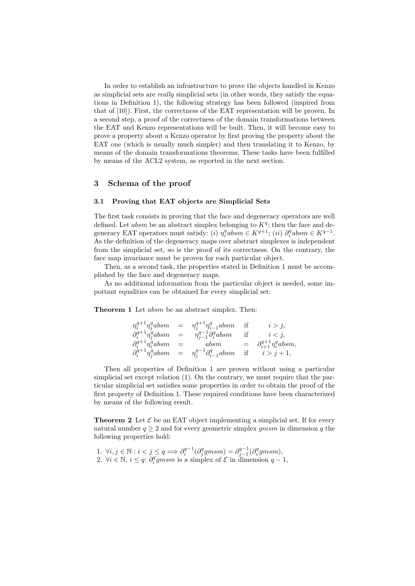In order to establish an infrastructure to prove the objects handled in Kenzo as simplicial sets are really simplicial sets (in other words, they satisfy the equations in Definition 1), the following strategy has been followed (inspired from that of [10]). First, the correctness of the EAT representation will be proven. In a second step, a proof of the correctness of the domain transformations between the EAT and Kenzo representations will be built. Then, it will become easy to prove a property about a Kenzo operator by first proving the property about the EAT one (which is usually much simpler) and then translating it to Kenzo, by means of the domain transformations theorems. These tasks have been fulfilled by means of the ACL2 system, as reported in the next section.

### 3 Schema of the proof

### 3.1 Proving that EAT objects are Simplicial Sets

The first task consists in proving that the face and degeneracy operators are well defined. Let absm be an abstract simplex belonging to  $K<sup>q</sup>$ ; then the face and degeneracy EAT operators must satisfy: (i)  $\eta_i^q absm \in K^{q+1}$ ; (ii)  $\partial_i^q absm \in K^{q-1}$ . As the definition of the degeneracy maps over abstract simplexes is independent from the simplicial set, so is the proof of its correctness. On the contrary, the face map invariance must be proven for each particular object.

Then, as a second task, the properties stated in Definition 1 must be accomplished by the face and degeneracy maps.

As no additional information from the particular object is needed, some important equalities can be obtained for every simplicial set:

Theorem 1 Let *absm* be an abstract simplex. Then:

|                                    |     | $\eta_i^{q+1} \eta_i^q absm = \eta_i^{q+1} \eta_{i-1}^q absm$ if |           | $i > j$ ,                               |
|------------------------------------|-----|------------------------------------------------------------------|-----------|-----------------------------------------|
| $\partial_i^{q+1} \eta_j^q absm$   | $=$ | $\eta_{i-1}^{q-1} \partial_i^q absm$                             | if        | $i < j$ ,                               |
| $\partial_i^{q+1} \eta_i^q absm =$ |     | absm                                                             |           | $= \partial_{i+1}^{q+1} \eta_i^q absm,$ |
| $\partial_i^{q+1} \eta_i^q absm =$ |     | $\eta_i^{q-1} \partial_{i-1}^q absm$                             | <i>if</i> | $i > j+1$ ,                             |

Then all properties of Definition 1 are proven without using a particular simplicial set except relation (1). On the contrary, we must require that the particular simplicial set satisfies some properties in order to obtain the proof of the first property of Definition 1. These required conditions have been characterized by means of the following result.

**Theorem 2** Let  $\mathcal{E}$  be an EAT object implementing a simplicial set. If for every natural number  $q \geq 2$  and for every geometric simplex gmsm in dimension q the following properties hold:

1.  $\forall i, j \in \mathbb{N} : i < j \leq q \Longrightarrow \partial_i^{q-1}(\partial_j^q g m s m) = \partial_{j-1}^{q-1}(\partial_i^q g m s m),$ 2.  $\forall i \in \mathbb{N}, i \leq q$ :  $\partial_i^q g m s m$  is a simplex of  $\mathcal{E}$  in dimension  $q-1$ ,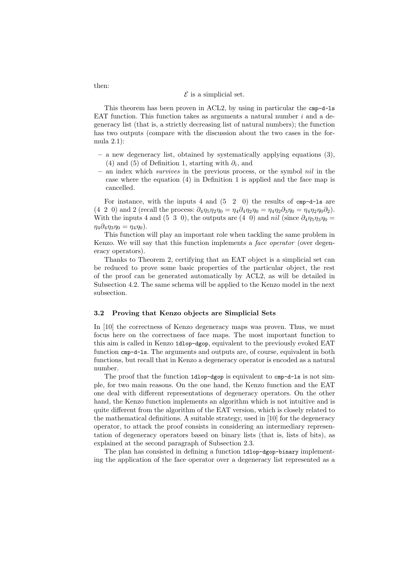#### $\mathcal E$  is a simplicial set.

This theorem has been proven in ACL2, by using in particular the cmp-d-ls EAT function. This function takes as arguments a natural number  $i$  and a degeneracy list (that is, a strictly decreasing list of natural numbers); the function has two outputs (compare with the discussion about the two cases in the formula 2.1):

- a new degeneracy list, obtained by systematically applying equations (3), (4) and (5) of Definition 1, starting with  $\partial_i$ , and
- an index which survives in the previous process, or the symbol nil in the case where the equation (4) in Definition 1 is applied and the face map is cancelled.

For instance, with the inputs  $4$  and  $(5 \quad 2 \quad 0)$  the results of cmp-d-1s are (4 2 0) and 2 (recall the process:  $\partial_4 \eta_5 \eta_2 \eta_0 = \eta_4 \partial_4 \eta_2 \eta_0 = \eta_4 \eta_2 \partial_3 \eta_0 = \eta_4 \eta_2 \eta_0 \partial_2$ ). With the inputs 4 and (5 3 0), the outputs are (4 0) and nil (since  $\partial_4 \eta_5 \eta_3 \eta_0 =$  $\eta_4 \partial_4 \eta_3 \eta_0 = \eta_4 \eta_0$ ).

This function will play an important role when tackling the same problem in Kenzo. We will say that this function implements a *face operator* (over degeneracy operators).

Thanks to Theorem 2, certifying that an EAT object is a simplicial set can be reduced to prove some basic properties of the particular object, the rest of the proof can be generated automatically by ACL2, as will be detailed in Subsection 4.2. The same schema will be applied to the Kenzo model in the next subsection.

#### 3.2 Proving that Kenzo objects are Simplicial Sets

In [10] the correctness of Kenzo degeneracy maps was proven. Thus, we must focus here on the correctness of face maps. The most important function to this aim is called in Kenzo 1dlop-dgop, equivalent to the previously evoked EAT function cmp-d-ls. The arguments and outputs are, of course, equivalent in both functions, but recall that in Kenzo a degeneracy operator is encoded as a natural number.

The proof that the function 1dlop-dgop is equivalent to cmp-d-ls is not simple, for two main reasons. On the one hand, the Kenzo function and the EAT one deal with different representations of degeneracy operators. On the other hand, the Kenzo function implements an algorithm which is not intuitive and is quite different from the algorithm of the EAT version, which is closely related to the mathematical definitions. A suitable strategy, used in [10] for the degeneracy operator, to attack the proof consists in considering an intermediary representation of degeneracy operators based on binary lists (that is, lists of bits), as explained at the second paragraph of Subsection 2.3.

The plan has consisted in defining a function 1dlop-dgop-binary implementing the application of the face operator over a degeneracy list represented as a

then: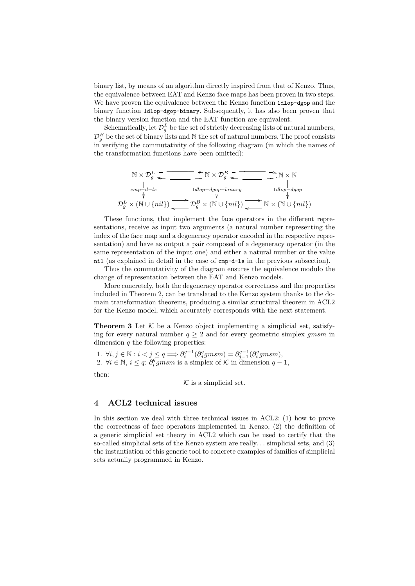binary list, by means of an algorithm directly inspired from that of Kenzo. Thus, the equivalence between EAT and Kenzo face maps has been proven in two steps. We have proven the equivalence between the Kenzo function 1dlop-dgop and the binary function 1dlop-dgop-binary. Subsequently, it has also been proven that the binary version function and the EAT function are equivalent.

Schematically, let  $\mathcal{D}_{g}^{L}$  be the set of strictly decreasing lists of natural numbers,  $\mathcal{D}_{g}^{B}$  be the set of binary lists and N the set of natural numbers. The proof consists in verifying the commutativity of the following diagram (in which the names of the transformation functions have been omitted):

$$
\mathbb{N} \times \mathcal{D}_g^L \xrightarrow{\text{and } \mathbb{N} \times \mathcal{D}_g^B} \xrightarrow{\text{and } \mathbb{N} \times \mathbb{N}} \mathbb{N} \times \mathbb{N}
$$
\n
$$
\xrightarrow{cmp \downarrow d-ls} \xrightarrow{1dlop-dgop-binary} \xrightarrow{1dlop \downarrow dgop}
$$
\n
$$
\mathcal{D}_g^L \times (\mathbb{N} \cup \{nil\}) \xrightarrow{\text{and } \mathbb{N} \times (\mathbb{N} \cup \{nil\})} \mathbb{N} \times (\mathbb{N} \cup \{nil\})
$$

These functions, that implement the face operators in the different representations, receive as input two arguments (a natural number representing the index of the face map and a degeneracy operator encoded in the respective representation) and have as output a pair composed of a degeneracy operator (in the same representation of the input one) and either a natural number or the value nil (as explained in detail in the case of cmp-d-ls in the previous subsection).

Thus the commutativity of the diagram ensures the equivalence modulo the change of representation between the EAT and Kenzo models.

More concretely, both the degeneracy operator correctness and the properties included in Theorem 2, can be translated to the Kenzo system thanks to the domain transformation theorems, producing a similar structural theorem in ACL2 for the Kenzo model, which accurately corresponds with the next statement.

**Theorem 3** Let  $K$  be a Kenzo object implementing a simplicial set, satisfying for every natural number  $q \geq 2$  and for every geometric simplex gmsm in dimension  $q$  the following properties:

1.  $\forall i, j \in \mathbb{N} : i < j \leq q \Longrightarrow \partial_i^{q-1}(\partial_j^q g m s m) = \partial_{j-1}^{q-1}(\partial_i^q g m s m),$ 2.  $\forall i \in \mathbb{N}, i \leq q$ :  $\partial_i^q g m s m$  is a simplex of K in dimension  $q-1$ ,

then:

 $K$  is a simplicial set.

# 4 ACL2 technical issues

In this section we deal with three technical issues in ACL2: (1) how to prove the correctness of face operators implemented in Kenzo, (2) the definition of a generic simplicial set theory in ACL2 which can be used to certify that the so-called simplicial sets of the Kenzo system are really. . . simplicial sets, and (3) the instantiation of this generic tool to concrete examples of families of simplicial sets actually programmed in Kenzo.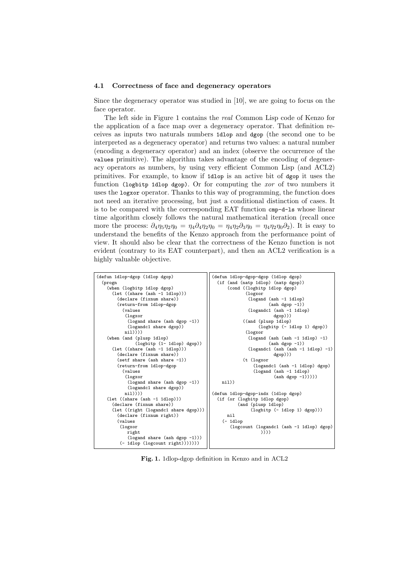#### 4.1 Correctness of face and degeneracy operators

Since the degeneracy operator was studied in [10], we are going to focus on the face operator.

The left side in Figure 1 contains the real Common Lisp code of Kenzo for the application of a face map over a degeneracy operator. That definition receives as inputs two naturals numbers 1dlop and dgop (the second one to be interpreted as a degeneracy operator) and returns two values: a natural number (encoding a degeneracy operator) and an index (observe the occurrence of the values primitive). The algorithm takes advantage of the encoding of degeneracy operators as numbers, by using very efficient Common Lisp (and ACL2) primitives. For example, to know if 1dlop is an active bit of dgop it uses the function (logbitp 1dlop dgop). Or for computing the  $xor$  of two numbers it uses the logxor operator. Thanks to this way of programming, the function does not need an iterative processing, but just a conditional distinction of cases. It is to be compared with the corresponding EAT function cmp-d-ls whose linear time algorithm closely follows the natural mathematical iteration (recall once more the process:  $\partial_4 \eta_5 \eta_2 \eta_0 = \eta_4 \partial_4 \eta_2 \eta_0 = \eta_4 \eta_2 \partial_3 \eta_0 = \eta_4 \eta_2 \eta_0 \partial_2$ . It is easy to understand the benefits of the Kenzo approach from the performance point of view. It should also be clear that the correctness of the Kenzo function is not evident (contrary to its EAT counterpart), and then an ACL2 verification is a highly valuable objective.



Fig. 1. 1dlop-dgop definition in Kenzo and in ACL2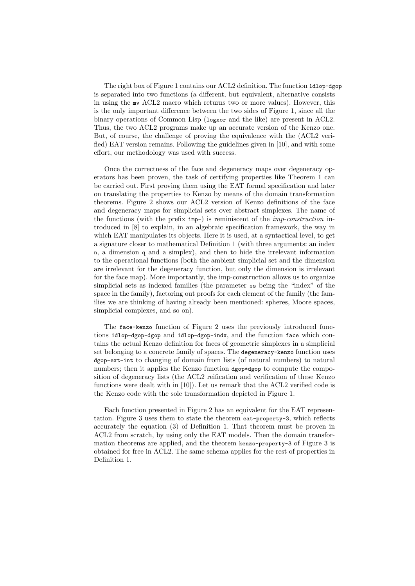The right box of Figure 1 contains our ACL2 definition. The function 1dlop-dgop is separated into two functions (a different, but equivalent, alternative consists in using the mv ACL2 macro which returns two or more values). However, this is the only important difference between the two sides of Figure 1, since all the binary operations of Common Lisp (logxor and the like) are present in ACL2. Thus, the two ACL2 programs make up an accurate version of the Kenzo one. But, of course, the challenge of proving the equivalence with the (ACL2 verified) EAT version remains. Following the guidelines given in [10], and with some effort, our methodology was used with success.

Once the correctness of the face and degeneracy maps over degeneracy operators has been proven, the task of certifying properties like Theorem 1 can be carried out. First proving them using the EAT formal specification and later on translating the properties to Kenzo by means of the domain transformation theorems. Figure 2 shows our ACL2 version of Kenzo definitions of the face and degeneracy maps for simplicial sets over abstract simplexes. The name of the functions (with the prefix imp-) is reminiscent of the imp-construction introduced in [8] to explain, in an algebraic specification framework, the way in which EAT manipulates its objects. Here it is used, at a syntactical level, to get a signature closer to mathematical Definition 1 (with three arguments: an index n, a dimension q and a simplex), and then to hide the irrelevant information to the operational functions (both the ambient simplicial set and the dimension are irrelevant for the degeneracy function, but only the dimension is irrelevant for the face map). More importantly, the imp-construction allows us to organize simplicial sets as indexed families (the parameter ss being the "index" of the space in the family), factoring out proofs for each element of the family (the families we are thinking of having already been mentioned: spheres, Moore spaces, simplicial complexes, and so on).

The face-kenzo function of Figure 2 uses the previously introduced functions 1dlop-dgop-dgop and 1dlop-dgop-indx, and the function face which contains the actual Kenzo definition for faces of geometric simplexes in a simplicial set belonging to a concrete family of spaces. The degeneracy-kenzo function uses dgop-ext-int to changing of domain from lists (of natural numbers) to natural numbers; then it applies the Kenzo function dgop\*dgop to compute the composition of degeneracy lists (the ACL2 reification and verification of these Kenzo functions were dealt with in [10]). Let us remark that the ACL2 verified code is the Kenzo code with the sole transformation depicted in Figure 1.

Each function presented in Figure 2 has an equivalent for the EAT representation. Figure 3 uses them to state the theorem eat-property-3, which reflects accurately the equation (3) of Definition 1. That theorem must be proven in ACL2 from scratch, by using only the EAT models. Then the domain transformation theorems are applied, and the theorem kenzo-property-3 of Figure 3 is obtained for free in ACL2. The same schema applies for the rest of properties in Definition 1.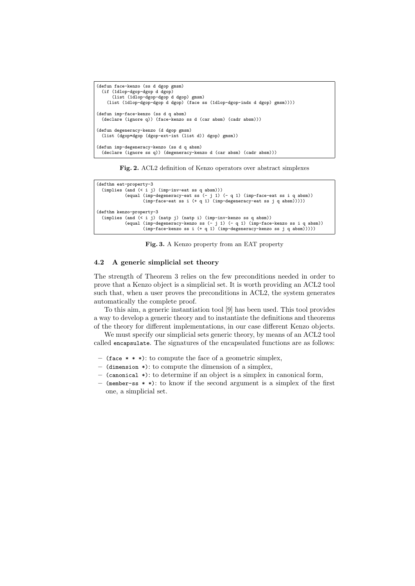```
(defun face-kenzo (ss d dgop gmsm)
  (if (1dlop-dgop-dgop d dgop)
     (list (1dlop-dgop-dgop d dgop) gmsm)
   (list (1dlop-dgop-dgop d dgop) (face ss (1dlop-dgop-indx d dgop) gmsm))))
(defun imp-face-kenzo (ss d q absm)
 (declare (ignore q)) (face-kenzo ss d (car absm) (cadr absm)))
(defun degeneracy-kenzo (d dgop gmsm)
 (list (dgop*dgop (dgop-ext-int (list d)) dgop) gmsm))
(defun imp-degeneracy-kenzo (ss d q absm)
 (declare (ignore ss q)) (degeneracy-kenzo d (car absm) (cadr absm)))
```
Fig. 2. ACL2 definition of Kenzo operators over abstract simplexes

```
(defthm eat-property-3
  (implies (and (< i j) (imp-inv-eat ss q absm)))
               (equal (imp-degeneracy-eat ss (- j 1) (- q 1) (imp-face-eat ss i q absm))
(imp-face-eat ss i (+ q 1) (imp-degeneracy-eat ss j q absm)))))
(defthm kenzo-property-3
  (implies (and (< i j) (natp j) (natp i) (imp-inv-kenzo ss q absm))
               (equal (imp-degeneracy-kenzo ss (- j 1) (- q 1) (imp-face-kenzo ss i q absm))
(imp-face-kenzo ss i (+ q 1) (imp-degeneracy-kenzo ss j q absm)))))
```
Fig. 3. A Kenzo property from an EAT property

### 4.2 A generic simplicial set theory

The strength of Theorem 3 relies on the few preconditions needed in order to prove that a Kenzo object is a simplicial set. It is worth providing an ACL2 tool such that, when a user proves the preconditions in ACL2, the system generates automatically the complete proof.

To this aim, a generic instantiation tool [9] has been used. This tool provides a way to develop a generic theory and to instantiate the definitions and theorems of the theory for different implementations, in our case different Kenzo objects.

We must specify our simplicial sets generic theory, by means of an ACL2 tool called encapsulate. The signatures of the encapsulated functions are as follows:

- (face  $* * *$ ): to compute the face of a geometric simplex,
- (dimension \*): to compute the dimension of a simplex,
- (canonical \*): to determine if an object is a simplex in canonical form,
- (member-ss \* \*): to know if the second argument is a simplex of the first one, a simplicial set.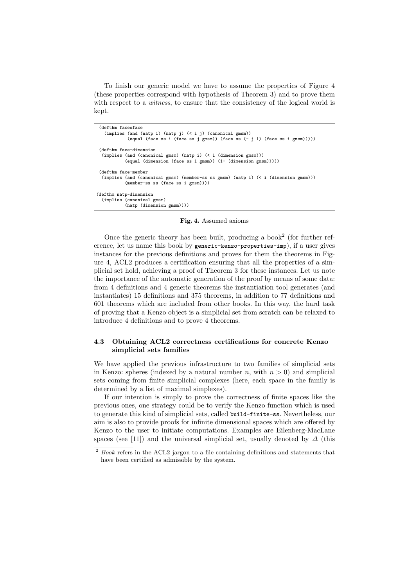To finish our generic model we have to assume the properties of Figure 4 (these properties correspond with hypothesis of Theorem 3) and to prove them with respect to a *witness*, to ensure that the consistency of the logical world is kept.

```
(defthm faceoface
   (implies (and (natp i) (natp j) (< i j) (canonical gmsm))
           (equal (face ss i (face ss j gmsm)) (face ss (- j 1) (face ss i gmsm)))))
 (defthm face-dimension
 (implies (and (canonical gmsm) (natp i) (< i (dimension gmsm)))
          (equal (dimension (face ss i gmsm)) (1- (dimension gmsm)))))
 (defthm face-member
 (implies (and (canonical gmsm) (member-ss ss gmsm) (natp i) (< i (dimension gmsm)))
           (member-ss ss (face ss i gmsm))))
(defthm natp-dimension
 (implies (canonical gmsm)
          (natp (dimension gmsm))))
```
Fig. 4. Assumed axioms

Once the generic theory has been built, producing a book<sup>2</sup> (for further reference, let us name this book by generic-kenzo-properties-imp), if a user gives instances for the previous definitions and proves for them the theorems in Figure 4, ACL2 produces a certification ensuring that all the properties of a simplicial set hold, achieving a proof of Theorem 3 for these instances. Let us note the importance of the automatic generation of the proof by means of some data: from 4 definitions and 4 generic theorems the instantiation tool generates (and instantiates) 15 definitions and 375 theorems, in addition to 77 definitions and 601 theorems which are included from other books. In this way, the hard task of proving that a Kenzo object is a simplicial set from scratch can be relaxed to introduce 4 definitions and to prove 4 theorems.

## 4.3 Obtaining ACL2 correctness certifications for concrete Kenzo simplicial sets families

We have applied the previous infrastructure to two families of simplicial sets in Kenzo: spheres (indexed by a natural number n, with  $n > 0$ ) and simplicial sets coming from finite simplicial complexes (here, each space in the family is determined by a list of maximal simplexes).

If our intention is simply to prove the correctness of finite spaces like the previous ones, one strategy could be to verify the Kenzo function which is used to generate this kind of simplicial sets, called build-finite-ss. Nevertheless, our aim is also to provide proofs for infinite dimensional spaces which are offered by Kenzo to the user to initiate computations. Examples are Eilenberg-MacLane spaces (see [11]) and the universal simplicial set, usually denoted by  $\Delta$  (this

 $^{\rm 2}$  *Book* refers in the ACL2 jargon to a file containing definitions and statements that have been certified as admissible by the system.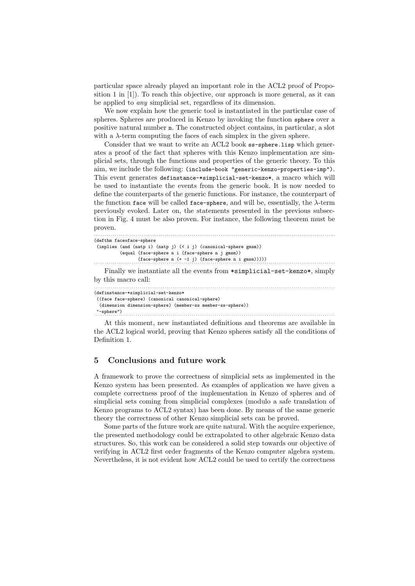particular space already played an important role in the ACL2 proof of Proposition 1 in [1]). To reach this objective, our approach is more general, as it can be applied to any simplicial set, regardless of its dimension.

We now explain how the generic tool is instantiated in the particular case of spheres. Spheres are produced in Kenzo by invoking the function sphere over a positive natural number n. The constructed object contains, in particular, a slot with a  $\lambda$ -term computing the faces of each simplex in the given sphere.

Consider that we want to write an ACL2 book ss-sphere.lisp which generates a proof of the fact that spheres with this Kenzo implementation are simplicial sets, through the functions and properties of the generic theory. To this aim, we include the following: (include-book "generic-kenzo-properties-imp"). This event generates definstance-\*simplicial-set-kenzo\*, a macro which will be used to instantiate the events from the generic book. It is now needed to define the counterparts of the generic functions. For instance, the counterpart of the function face will be called face-sphere, and will be, essentially, the  $\lambda$ -term previously evoked. Later on, the statements presented in the previous subsection in Fig. 4 must be also proven. For instance, the following theorem must be proven.

```
. . . . . . . . . . . . . . . . . . . . . . . . . . . . . . . . . . . . . . . . . . . . . . . . . . . . . . . . . . . . . . . . . . . . . . . . . . . . . . . . . . . . . . . . . . . . . . . . . . . . . . . . . . . . . . . . . . . .
(defthm faceoface-sphere
 (implies (and (natp i) (natp j) (< i j) (canonical-sphere gmsm))
                (equal (face-sphere n i (face-sphere n j gmsm))
{\rm (face-sphere\,\, n\,\,\, (+\,\,\,-1\,\,\, j)\,\,\, (face-sphere\,\,\, n\,\,\, i\,\,\, gmsm))}))}Finally we instantiate all the events from *simplicial-set-kenzo*, simply
by this macro call:
      . . . . . . . . . . . . . . . . . . . . . . . . . . . . . . . . . . . . . . . . . . . . . . . . . . . . . . . . . . . . . . . . . . . . . . . . . . . . . . . . . . . . . . . . . . . . . . . . . . . . . . . . . . . . . . . . . . . .
(definstance-*simplicial-set-kenzo*
 ((face face-sphere) (canonical canonical-sphere)
  (dimension dimension-sphere) (member-ss member-ss-sphere))
```
"-sphere") . . . . . . . . . . . . . . . . . . . . . . . . . . . . . . . . . . . . . . . . . . . . . . . . . . . . . . . . . . . . . . . . . . . . . . . . . . . . . . . . . . . . . . . . . . . . . . . . . . . . . . . . . . . . . . . . . . . .

At this moment, new instantiated definitions and theorems are available in the ACL2 logical world, proving that Kenzo spheres satisfy all the conditions of Definition 1.

# 5 Conclusions and future work

A framework to prove the correctness of simplicial sets as implemented in the Kenzo system has been presented. As examples of application we have given a complete correctness proof of the implementation in Kenzo of spheres and of simplicial sets coming from simplicial complexes (modulo a safe translation of Kenzo programs to ACL2 syntax) has been done. By means of the same generic theory the correctness of other Kenzo simplicial sets can be proved.

Some parts of the future work are quite natural. With the acquire experience, the presented methodology could be extrapolated to other algebraic Kenzo data structures. So, this work can be considered a solid step towards our objective of verifying in ACL2 first order fragments of the Kenzo computer algebra system. Nevertheless, it is not evident how ACL2 could be used to certify the correctness